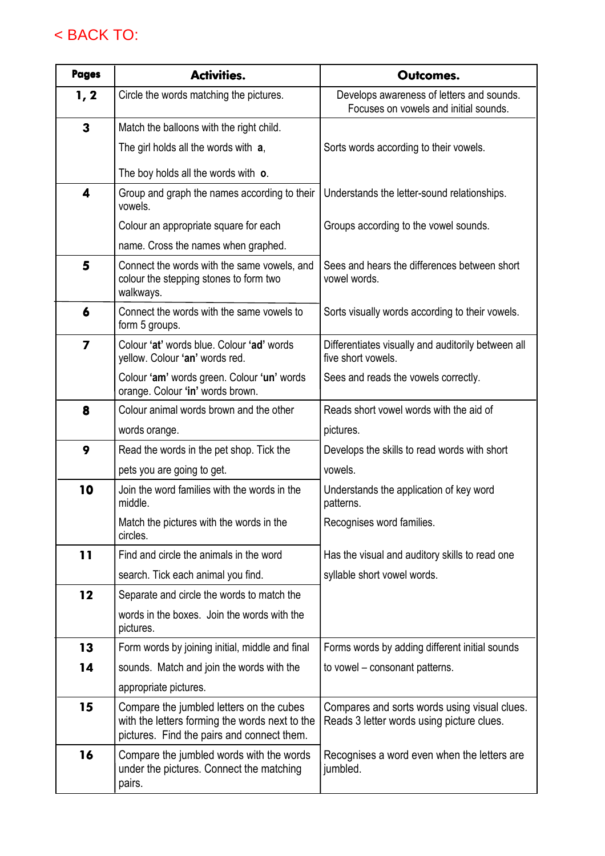## < BACK TO:

| <b>Pages</b>            | <b>Activities.</b>                                                                                                                       | Outcomes.                                                                                 |  |  |
|-------------------------|------------------------------------------------------------------------------------------------------------------------------------------|-------------------------------------------------------------------------------------------|--|--|
| 1, 2                    | Circle the words matching the pictures.                                                                                                  | Develops awareness of letters and sounds.<br>Focuses on vowels and initial sounds.        |  |  |
| 3                       | Match the balloons with the right child.                                                                                                 |                                                                                           |  |  |
|                         | The girl holds all the words with a,                                                                                                     | Sorts words according to their vowels.                                                    |  |  |
|                         | The boy holds all the words with o.                                                                                                      |                                                                                           |  |  |
| $\overline{\mathbf{4}}$ | Group and graph the names according to their<br>vowels.                                                                                  | Understands the letter-sound relationships.                                               |  |  |
|                         | Colour an appropriate square for each                                                                                                    | Groups according to the vowel sounds.                                                     |  |  |
|                         | name. Cross the names when graphed.                                                                                                      |                                                                                           |  |  |
| 5                       | Connect the words with the same vowels, and<br>colour the stepping stones to form two<br>walkways.                                       | Sees and hears the differences between short<br>vowel words.                              |  |  |
| 6                       | Connect the words with the same vowels to<br>form 5 groups.                                                                              | Sorts visually words according to their vowels.                                           |  |  |
| 7                       | Colour 'at' words blue. Colour 'ad' words<br>yellow. Colour 'an' words red.                                                              | Differentiates visually and auditorily between all<br>five short vowels.                  |  |  |
|                         | Colour 'am' words green. Colour 'un' words<br>orange. Colour 'in' words brown.                                                           | Sees and reads the vowels correctly.                                                      |  |  |
| 8                       | Colour animal words brown and the other                                                                                                  | Reads short vowel words with the aid of                                                   |  |  |
|                         | words orange.                                                                                                                            | pictures.                                                                                 |  |  |
| 9                       | Read the words in the pet shop. Tick the                                                                                                 | Develops the skills to read words with short                                              |  |  |
|                         | pets you are going to get.                                                                                                               | vowels.                                                                                   |  |  |
| 10                      | Join the word families with the words in the<br>middle.                                                                                  | Understands the application of key word<br>patterns.                                      |  |  |
|                         | Match the pictures with the words in the<br>circles.                                                                                     | Recognises word families.                                                                 |  |  |
| 11                      | Find and circle the animals in the word                                                                                                  | Has the visual and auditory skills to read one                                            |  |  |
|                         | search. Tick each animal you find.                                                                                                       | syllable short vowel words.                                                               |  |  |
| 12                      | Separate and circle the words to match the                                                                                               |                                                                                           |  |  |
|                         | words in the boxes. Join the words with the<br>pictures.                                                                                 |                                                                                           |  |  |
| 13                      | Form words by joining initial, middle and final                                                                                          | Forms words by adding different initial sounds                                            |  |  |
| 14                      | sounds. Match and join the words with the                                                                                                | to vowel – consonant patterns.                                                            |  |  |
|                         | appropriate pictures.                                                                                                                    |                                                                                           |  |  |
| 15                      | Compare the jumbled letters on the cubes<br>with the letters forming the words next to the<br>pictures. Find the pairs and connect them. | Compares and sorts words using visual clues.<br>Reads 3 letter words using picture clues. |  |  |
| 16                      | Compare the jumbled words with the words<br>under the pictures. Connect the matching<br>pairs.                                           | Recognises a word even when the letters are<br>jumbled.                                   |  |  |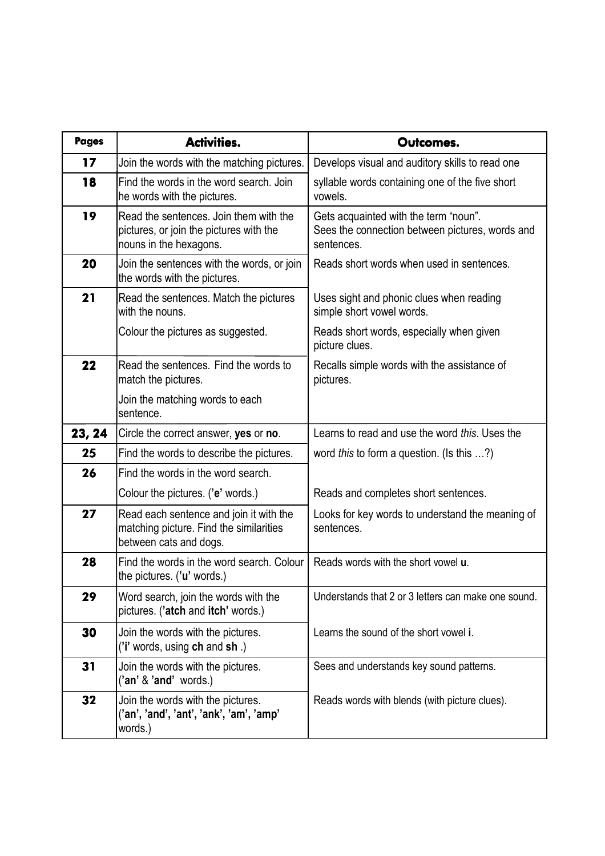| <b>Pages</b> | <b>Activities.</b>                                                                                           | Outcomes.                                                                                              |  |  |
|--------------|--------------------------------------------------------------------------------------------------------------|--------------------------------------------------------------------------------------------------------|--|--|
| 17           | Join the words with the matching pictures.                                                                   | Develops visual and auditory skills to read one                                                        |  |  |
| 18           | Find the words in the word search. Join<br>he words with the pictures.                                       | syllable words containing one of the five short<br>vowels.                                             |  |  |
| 19           | Read the sentences. Join them with the<br>pictures, or join the pictures with the<br>nouns in the hexagons.  | Gets acquainted with the term "noun".<br>Sees the connection between pictures, words and<br>sentences. |  |  |
| 20           | Join the sentences with the words, or join<br>the words with the pictures.                                   | Reads short words when used in sentences.                                                              |  |  |
| 21           | Read the sentences. Match the pictures<br>with the nouns.                                                    | Uses sight and phonic clues when reading<br>simple short vowel words.                                  |  |  |
|              | Colour the pictures as suggested.                                                                            | Reads short words, especially when given<br>picture clues.                                             |  |  |
| 22           | Read the sentences. Find the words to<br>match the pictures.                                                 | Recalls simple words with the assistance of<br>pictures.                                               |  |  |
|              | Join the matching words to each<br>sentence.                                                                 |                                                                                                        |  |  |
| 23, 24       | Circle the correct answer, yes or no.                                                                        | Learns to read and use the word this. Uses the                                                         |  |  |
| 25           | Find the words to describe the pictures.                                                                     | word <i>this</i> to form a question. (Is this $\ldots$ ?)                                              |  |  |
| 26           | Find the words in the word search.                                                                           |                                                                                                        |  |  |
|              | Colour the pictures. ('e' words.)                                                                            | Reads and completes short sentences.                                                                   |  |  |
| 27           | Read each sentence and join it with the<br>matching picture. Find the similarities<br>between cats and dogs. | Looks for key words to understand the meaning of<br>sentences.                                         |  |  |
| 28           | Find the words in the word search. Colour<br>the pictures. ('u' words.)                                      | Reads words with the short vowel <b>u</b> .                                                            |  |  |
| 29           | Word search, join the words with the<br>pictures. ('atch and itch' words.)                                   | Understands that 2 or 3 letters can make one sound.                                                    |  |  |
| 30           | Join the words with the pictures.<br>('i' words, using ch and sh.)                                           | Learns the sound of the short vowel i.                                                                 |  |  |
| 31           | Join the words with the pictures.<br>('an' & 'and' words.)                                                   | Sees and understands key sound patterns.                                                               |  |  |
| 32           | Join the words with the pictures.<br>('an', 'and', 'ant', 'ank', 'am', 'amp'<br>words.)                      | Reads words with blends (with picture clues).                                                          |  |  |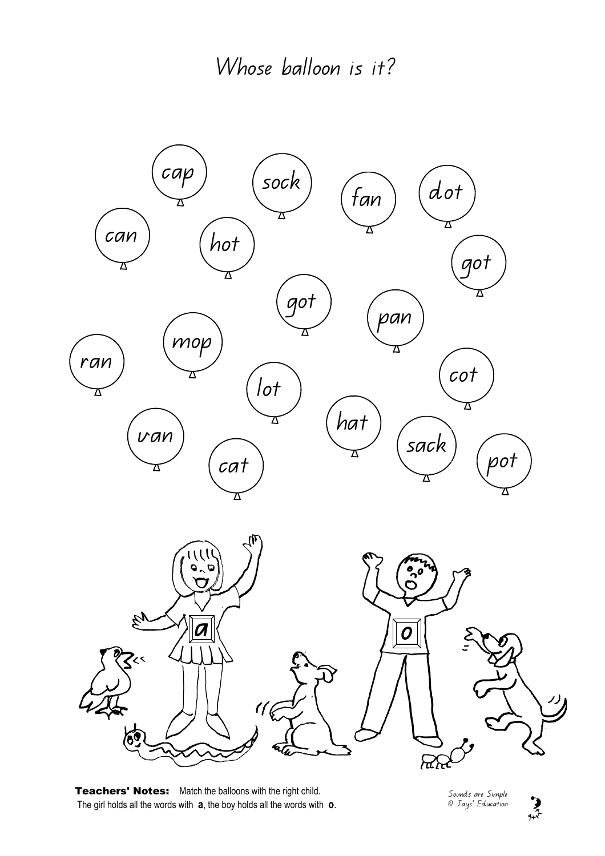

Teachers' Notes: Match the balloons with the right child. The girl holds all the words with  $a$ , the boy holds all the words with  $o$ .

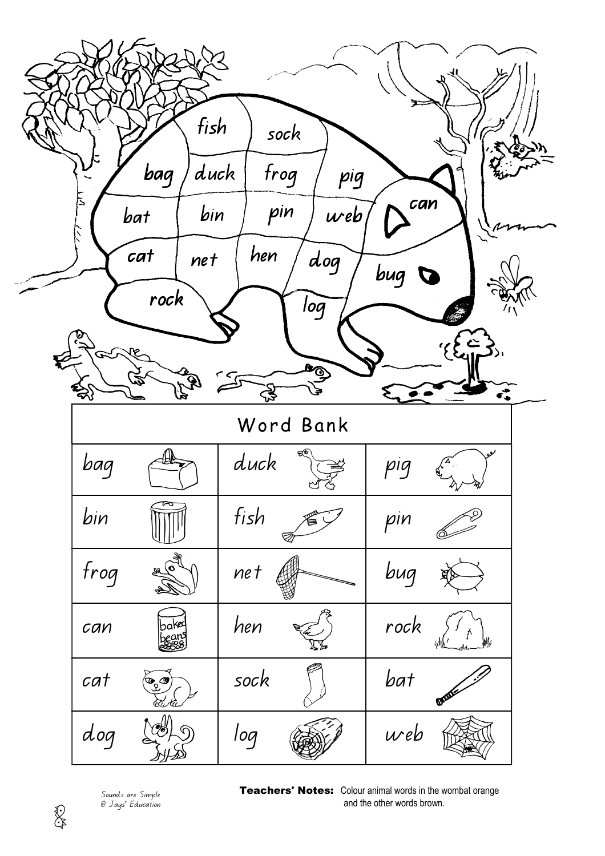



Teachers' Notes: Colour animal words in the wombat orange

and the other words brown.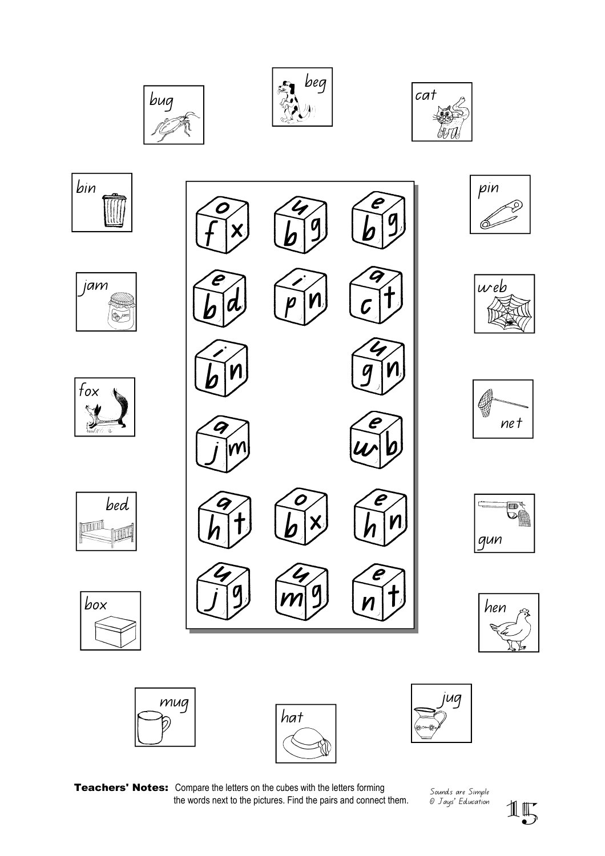



































Sounds are Simple

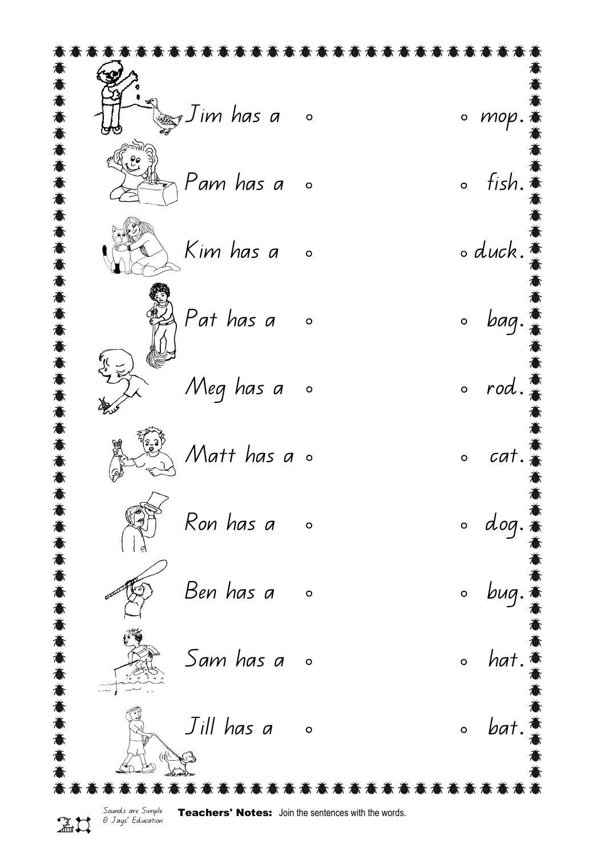$J$ im has a  $\qquad \circ$  mop. e<br>a<br>a  $\mathcal{C}$ Pam has a o control of ish.  $Kim$  has a  $\circ$   $\qquad \circ$   $duck.$ 意意意意意意意意意意意 Pat has a bag. Meg has a  $\circ$  orod. Matt has  $a \circ$  ocat. Ron has a compared to dog. 意意意 Ben has a bug.  $Sam$  has a  $\circ$  and  $hat$ .  $J$ ill has a component to bat. Sounds are Simple Teachers' Notes: Join the sentences with the words. © Jays' Education 20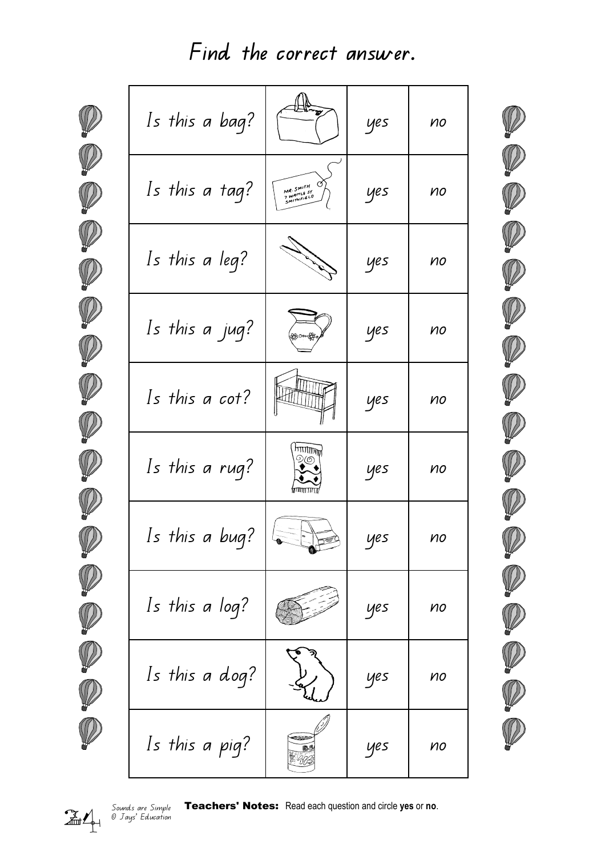Find the correct answer.

| Is this a bag? |                                        | yes | no |
|----------------|----------------------------------------|-----|----|
| Is this a tag? | MR. SMITH<br>7 WATTLE ST<br>SMITHFIELD | yes | no |
| Is this a leg? |                                        | yes | no |
| Is this a jug? |                                        | yes | no |
| Is this a cot? |                                        | yes | no |
| Is this a rug? | $\eta$ ון ווו $\eta$ דו<br>9(6         | yes | no |
| Is this a bug? |                                        | yes | no |
| Is this a log? |                                        | yes | no |
| Is this a dog? |                                        | yes | no |
| Is this a pig? | COOPS                                  | yes | no |
|                |                                        |     |    |

Sounds are Simple<br>24 <sup>Sounds</sup> are Simple<br>24 <sup>Sounds</sup> Education

Teachers' Notes: Read each question and circle yes or no.